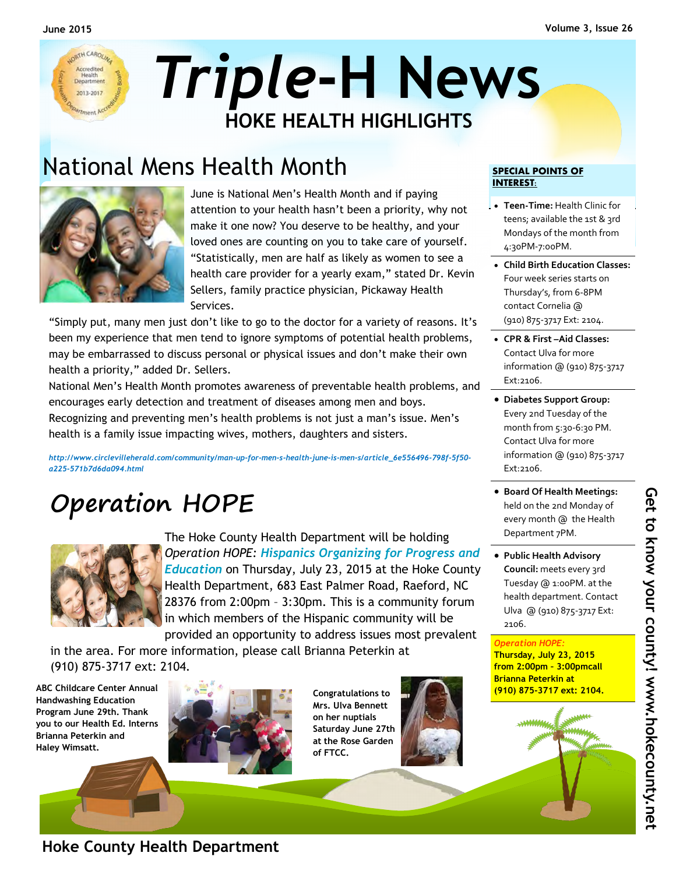

## National Mens Health Month **SPECIAL POINTS OF**



June is National Men's Health Month and if paying attention to your health hasn't been a priority, why not make it one now? You deserve to be healthy, and your loved ones are counting on you to take care of yourself. "Statistically, men are half as likely as women to see a health care provider for a yearly exam," stated Dr. Kevin Sellers, family practice physician, Pickaway Health Services.

"Simply put, many men just don't like to go to the doctor for a variety of reasons. It's been my experience that men tend to ignore symptoms of potential health problems, may be embarrassed to discuss personal or physical issues and don't make their own health a priority," added Dr. Sellers.

National Men's Health Month promotes awareness of preventable health problems, and encourages early detection and treatment of diseases among men and boys. Recognizing and preventing men's health problems is not just a man's issue. Men's health is a family issue impacting wives, mothers, daughters and sisters.

*http://www.circlevilleherald.com/community/man-up-for-men-s-health-june-is-men-s/article\_6e556496-798f-5f50 a225-571b7d6da094.html* 

# **Operation HOPE**



The Hoke County Health Department will be holding *Operation HOPE: Hispanics Organizing for Progress and Education* on Thursday, July 23, 2015 at the Hoke County Health Department, 683 East Palmer Road, Raeford, NC 28376 from 2:00pm – 3:30pm. This is a community forum in which members of the Hispanic community will be provided an opportunity to address issues most prevalent

in the area. For more information, please call Brianna Peterkin at (910) 875-3717 ext: 2104.

**ABC Childcare Center Annual Handwashing Education Program June 29th. Thank you to our Health Ed. Interns Brianna Peterkin and Haley Wimsatt.** 



**Congratulations to Mrs. Ulva Bennett on her nuptials Saturday June 27th at the Rose Garden of FTCC.** 



## **INTEREST:**

- **Teen-Time:** Health Clinic for teens; available the 1st & 3rd Mondays of the month from 4:30PM-7:00PM.
- **Child Birth Education Classes:**  Four week series starts on Thursday's, from 6-8PM contact Cornelia @ (910) 875-3717 Ext: 2104.
- **CPR & First –Aid Classes:**  Contact Ulva for more information @ (910) 875-3717 Ext:2106.
- **Diabetes Support Group:**  Every 2nd Tuesday of the month from 5:30-6:30 PM. Contact Ulva for more information @ (910) 875-3717 Ext:2106.
- **Board Of Health Meetings:**  held on the 2nd Monday of every month @ the Health Department 7PM.
- **Public Health Advisory Council:** meets every 3rd Tuesday @ 1:00PM. at the health department. Contact Ulva @ (910) 875-3717 Ext: 2106.

#### *Operation HOPE:*

*ANNINGS* 

**Thursday, July 23, 2015 from 2:00pm – 3:00pmcall Brianna Peterkin at (910) 875-3717 ext: 2104.** 

## **Hoke County Health Department**